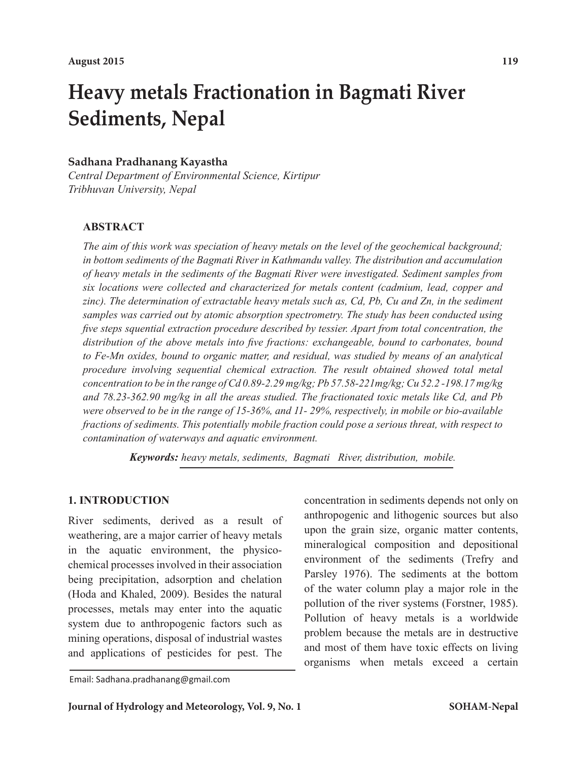# **Heavy metals Fractionation in Bagmati River Sediments, Nepal**

## **Sadhana Pradhanang Kayastha**

*Central Department of Environmental Science, Kirtipur Tribhuvan University, Nepal*

#### **ABSTRACT**

*The aim of this work was speciation of heavy metals on the level of the geochemical background; in bottom sediments of the Bagmati River in Kathmandu valley. The distribution and accumulation of heavy metals in the sediments of the Bagmati River were investigated. Sediment samples from six locations were collected and characterized for metals content (cadmium, lead, copper and zinc). The determination of extractable heavy metals such as, Cd, Pb, Cu and Zn, in the sediment samples was carried out by atomic absorption spectrometry. The study has been conducted using five steps squential extraction procedure described by tessier. Apart from total concentration, the distribution of the above metals into five fractions: exchangeable, bound to carbonates, bound to Fe-Mn oxides, bound to organic matter, and residual, was studied by means of an analytical procedure involving sequential chemical extraction. The result obtained showed total metal concentration to be in the range of Cd 0.89-2.29 mg/kg; Pb 57.58-221mg/kg; Cu 52.2 -198.17 mg/kg and 78.23-362.90 mg/kg in all the areas studied. The fractionated toxic metals like Cd, and Pb were observed to be in the range of 15-36%, and 11- 29%, respectively, in mobile or bio-available fractions of sediments. This potentially mobile fraction could pose a serious threat, with respect to contamination of waterways and aquatic environment.*

*Keywords: heavy metals, sediments, Bagmati River, distribution, mobile.*

## **1. INTRODUCTION**

River sediments, derived as a result of weathering, are a major carrier of heavy metals in the aquatic environment, the physicochemical processes involved in their association being precipitation, adsorption and chelation (Hoda and Khaled, 2009). Besides the natural processes, metals may enter into the aquatic system due to anthropogenic factors such as mining operations, disposal of industrial wastes and applications of pesticides for pest. The

Email: Sadhana.pradhanang@gmail.com

**Journal of Hydrology and Meteorology, Vol. 9, No. 1**

concentration in sediments depends not only on anthropogenic and lithogenic sources but also upon the grain size, organic matter contents, mineralogical composition and depositional environment of the sediments (Trefry and Parsley 1976). The sediments at the bottom of the water column play a major role in the pollution of the river systems (Forstner, 1985). Pollution of heavy metals is a worldwide problem because the metals are in destructive and most of them have toxic effects on living organisms when metals exceed a certain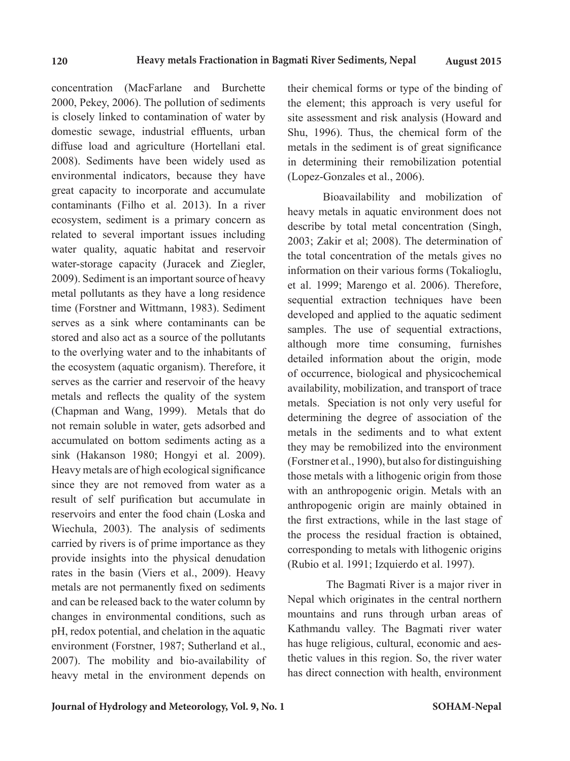concentration (MacFarlane and Burchette 2000, Pekey, 2006). The pollution of sediments is closely linked to contamination of water by domestic sewage, industrial effluents, urban diffuse load and agriculture (Hortellani etal. 2008). Sediments have been widely used as environmental indicators, because they have great capacity to incorporate and accumulate contaminants (Filho et al. 2013). In a river ecosystem, sediment is a primary concern as related to several important issues including water quality, aquatic habitat and reservoir water-storage capacity (Juracek and Ziegler, 2009). Sediment is an important source of heavy metal pollutants as they have a long residence time (Forstner and Wittmann, 1983). Sediment serves as a sink where contaminants can be stored and also act as a source of the pollutants to the overlying water and to the inhabitants of the ecosystem (aquatic organism). Therefore, it serves as the carrier and reservoir of the heavy metals and reflects the quality of the system (Chapman and Wang, 1999). Metals that do not remain soluble in water, gets adsorbed and accumulated on bottom sediments acting as a sink (Hakanson 1980; Hongyi et al. 2009). Heavy metals are of high ecological significance since they are not removed from water as a result of self purification but accumulate in reservoirs and enter the food chain (Loska and Wiechula, 2003). The analysis of sediments carried by rivers is of prime importance as they provide insights into the physical denudation rates in the basin (Viers et al., 2009). Heavy metals are not permanently fixed on sediments and can be released back to the water column by changes in environmental conditions, such as pH, redox potential, and chelation in the aquatic environment (Forstner, 1987; Sutherland et al., 2007). The mobility and bio-availability of heavy metal in the environment depends on

their chemical forms or type of the binding of the element; this approach is very useful for site assessment and risk analysis (Howard and Shu, 1996). Thus, the chemical form of the metals in the sediment is of great significance in determining their remobilization potential (Lopez-Gonzales et al., 2006).

Bioavailability and mobilization of heavy metals in aquatic environment does not describe by total metal concentration (Singh, 2003; Zakir et al; 2008). The determination of the total concentration of the metals gives no information on their various forms (Tokalioglu, et al. 1999; Marengo et al. 2006). Therefore, sequential extraction techniques have been developed and applied to the aquatic sediment samples. The use of sequential extractions, although more time consuming, furnishes detailed information about the origin, mode of occurrence, biological and physicochemical availability, mobilization, and transport of trace metals. Speciation is not only very useful for determining the degree of association of the metals in the sediments and to what extent they may be remobilized into the environment (Forstner et al., 1990), but also for distinguishing those metals with a lithogenic origin from those with an anthropogenic origin. Metals with an anthropogenic origin are mainly obtained in the first extractions, while in the last stage of the process the residual fraction is obtained, corresponding to metals with lithogenic origins (Rubio et al. 1991; Izquierdo et al. 1997).

 The Bagmati River is a major river in Nepal which originates in the central northern mountains and runs through urban areas of Kathmandu valley. The Bagmati river water has huge religious, cultural, economic and aesthetic values in this region. So, the river water has direct connection with health, environment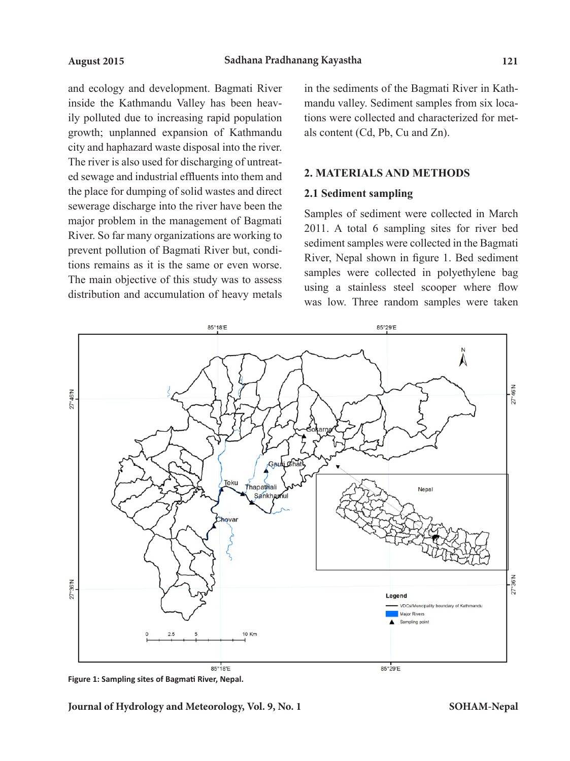and ecology and development. Bagmati River inside the Kathmandu Valley has been heavily polluted due to increasing rapid population growth; unplanned expansion of Kathmandu city and haphazard waste disposal into the river. The river is also used for discharging of untreated sewage and industrial effluents into them and the place for dumping of solid wastes and direct sewerage discharge into the river have been the major problem in the management of Bagmati River. So far many organizations are working to prevent pollution of Bagmati River but, conditions remains as it is the same or even worse. The main objective of this study was to assess distribution and accumulation of heavy metals in the sediments of the Bagmati River in Kathmandu valley. Sediment samples from six locations were collected and characterized for metals content (Cd, Pb, Cu and Zn).

#### **2. MATERIALS AND METHODS**

#### **2.1 Sediment sampling**

Samples of sediment were collected in March 2011. A total 6 sampling sites for river bed sediment samples were collected in the Bagmati River, Nepal shown in figure 1. Bed sediment samples were collected in polyethylene bag using a stainless steel scooper where flow was low. Three random samples were taken



**Figure 1: Sampling sites of Bagmati River, Nepal.**

**Journal of Hydrology and Meteorology, Vol. 9, No. 1**

**SOHAM-Nepal**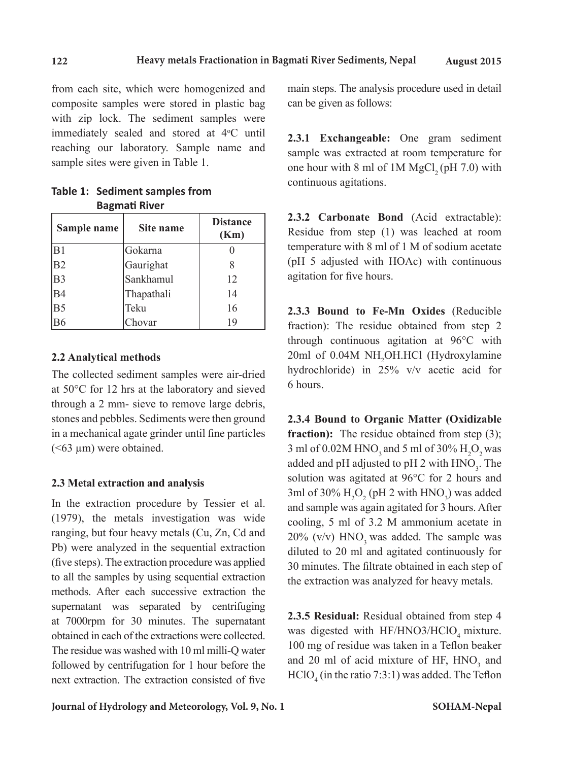from each site, which were homogenized and composite samples were stored in plastic bag with zip lock. The sediment samples were immediately sealed and stored at  $4^{\circ}$ C until reaching our laboratory. Sample name and sample sites were given in Table 1.

| Table 1: Sediment samples from |  |
|--------------------------------|--|
| <b>Bagmati River</b>           |  |

| Sample name    | Site name  | <b>Distance</b><br>(Km) |
|----------------|------------|-------------------------|
| B1             | Gokarna    |                         |
| B <sub>2</sub> | Gaurighat  |                         |
| B <sub>3</sub> | Sankhamul  | 12                      |
| <b>B4</b>      | Thapathali | 14                      |
| B <sub>5</sub> | Teku       | 16                      |
|                | Chovar     | 1 Q                     |

## **2.2 Analytical methods**

The collected sediment samples were air-dried at 50°C for 12 hrs at the laboratory and sieved through a 2 mm- sieve to remove large debris, stones and pebbles. Sediments were then ground in a mechanical agate grinder until fine particles  $(**63** \mu m)$  were obtained.

## **2.3 Metal extraction and analysis**

In the extraction procedure by Tessier et al. (1979), the metals investigation was wide ranging, but four heavy metals (Cu, Zn, Cd and Pb) were analyzed in the sequential extraction (five steps). The extraction procedure was applied to all the samples by using sequential extraction methods. After each successive extraction the supernatant was separated by centrifuging at 7000rpm for 30 minutes. The supernatant obtained in each of the extractions were collected. The residue was washed with 10 ml milli-Q water followed by centrifugation for 1 hour before the next extraction. The extraction consisted of five

main steps. The analysis procedure used in detail can be given as follows:

**2.3.1 Exchangeable:** One gram sediment sample was extracted at room temperature for one hour with 8 ml of 1M MgCl<sub>2</sub> (pH 7.0) with continuous agitations.

**2.3.2 Carbonate Bond** (Acid extractable): Residue from step (1) was leached at room temperature with 8 ml of 1 M of sodium acetate (pH 5 adjusted with HOAc) with continuous agitation for five hours.

**2.3.3 Bound to Fe-Mn Oxides** (Reducible fraction): The residue obtained from step 2 through continuous agitation at 96°C with 20ml of 0.04M NH<sub>2</sub>OH.HCl (Hydroxylamine hydrochloride) in 25% v/v acetic acid for 6 hours.

**2.3.4 Bound to Organic Matter (Oxidizable**  fraction): The residue obtained from step (3); 3 ml of 0.02M HNO<sub>3</sub> and 5 ml of 30%  $H_2O_2$  was added and pH adjusted to pH 2 with  $HNO<sub>3</sub>$ . The solution was agitated at 96°C for 2 hours and 3ml of 30%  $H_2O_2$  (pH 2 with HNO<sub>3</sub>) was added and sample was again agitated for 3 hours. After cooling, 5 ml of 3.2 M ammonium acetate in  $20\%$  (v/v) HNO<sub>3</sub> was added. The sample was diluted to 20 ml and agitated continuously for 30 minutes. The filtrate obtained in each step of the extraction was analyzed for heavy metals.

**2.3.5 Residual:** Residual obtained from step 4 was digested with HF/HNO3/HClO<sub>4</sub> mixture. 100 mg of residue was taken in a Teflon beaker and 20 ml of acid mixture of HF,  $HNO<sub>3</sub>$  and  $HClO<sub>4</sub>$  (in the ratio 7:3:1) was added. The Teflon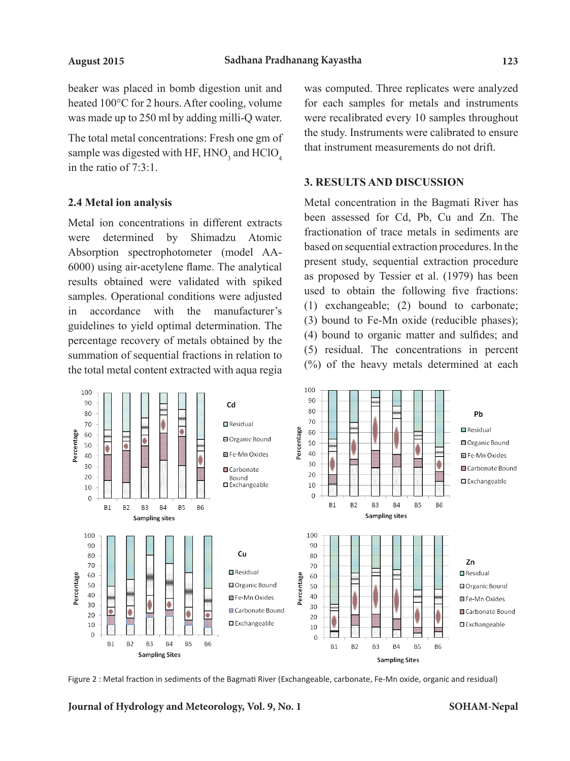beaker was placed in bomb digestion unit and heated 100°C for 2 hours. After cooling, volume was made up to 250 ml by adding milli-Q water.

The total metal concentrations: Fresh one gm of sample was digested with HF,  $HNO<sub>3</sub>$  and  $HClO<sub>4</sub>$ in the ratio of 7:3:1.

#### **2.4 Metal ion analysis**

Metal ion concentrations in different extracts were determined by Shimadzu Atomic Absorption spectrophotometer (model AA-6000) using air-acetylene flame. The analytical results obtained were validated with spiked samples. Operational conditions were adjusted in accordance with the manufacturer's guidelines to yield optimal determination. The percentage recovery of metals obtained by the summation of sequential fractions in relation to the total metal content extracted with aqua regia was computed. Three replicates were analyzed for each samples for metals and instruments were recalibrated every 10 samples throughout the study. Instruments were calibrated to ensure that instrument measurements do not drift.

#### **3. RESULTS AND DISCUSSION**

Metal concentration in the Bagmati River has been assessed for Cd, Pb, Cu and Zn. The fractionation of trace metals in sediments are based on sequential extraction procedures. In the present study, sequential extraction procedure as proposed by Tessier et al. (1979) has been used to obtain the following five fractions: (1) exchangeable; (2) bound to carbonate; (3) bound to Fe-Mn oxide (reducible phases); (4) bound to organic matter and sulfides; and (5) residual. The concentrations in percent (%) of the heavy metals determined at each



Figure 2 : Metal fraction in sediments of the Bagmati River (Exchangeable, carbonate, Fe-Mn oxide, organic and residual)

**Journal of Hydrology and Meteorology, Vol. 9, No. 1**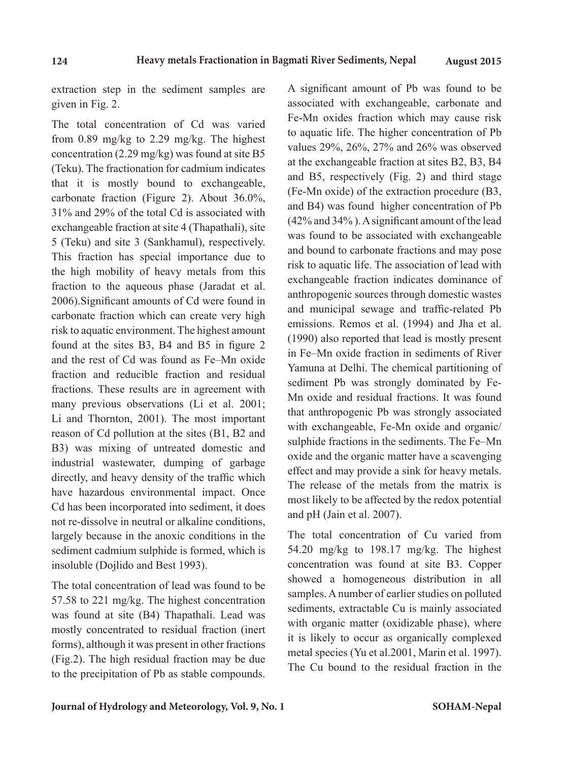extraction step in the sediment samples are given in Fig. 2.

The total concentration of Cd was varied from 0.89 mg/kg to 2.29 mg/kg. The highest concentration (2.29 mg/kg) was found at site B5 (Teku). The fractionation for cadmium indicates that it is mostly bound to exchangeable, carbonate fraction (Figure 2). About 36.0%, 31% and 29% of the total Cd is associated with exchangeable fraction at site 4 (Thapathali), site 5 (Teku) and site 3 (Sankhamul), respectively. This fraction has special importance due to the high mobility of heavy metals from this fraction to the aqueous phase (Jaradat et al. 2006).Significant amounts of Cd were found in carbonate fraction which can create very high risk to aquatic environment. The highest amount found at the sites B3, B4 and B5 in figure 2 and the rest of Cd was found as Fe–Mn oxide fraction and reducible fraction and residual fractions. These results are in agreement with many previous observations (Li et al. 2001; Li and Thornton, 2001). The most important reason of Cd pollution at the sites (B1, B2 and B3) was mixing of untreated domestic and industrial wastewater, dumping of garbage directly, and heavy density of the traffic which have hazardous environmental impact. Once Cd has been incorporated into sediment, it does not re-dissolve in neutral or alkaline conditions, largely because in the anoxic conditions in the sediment cadmium sulphide is formed, which is insoluble (Dojlido and Best 1993).

The total concentration of lead was found to be 57.58 to 221 mg/kg. The highest concentration was found at site (B4) Thapathali. Lead was mostly concentrated to residual fraction (inert forms), although it was present in other fractions (Fig.2). The high residual fraction may be due to the precipitation of Pb as stable compounds.

A significant amount of Pb was found to be associated with exchangeable, carbonate and Fe-Mn oxides fraction which may cause risk to aquatic life. The higher concentration of Pb values 29%, 26%, 27% and 26% was observed at the exchangeable fraction at sites B2, B3, B4 and B5, respectively (Fig. 2) and third stage (Fe-Mn oxide) of the extraction procedure (B3, and B4) was found higher concentration of Pb (42% and 34% ). A significant amount of the lead was found to be associated with exchangeable and bound to carbonate fractions and may pose risk to aquatic life. The association of lead with exchangeable fraction indicates dominance of anthropogenic sources through domestic wastes and municipal sewage and traffic-related Pb emissions. Remos et al. (1994) and Jha et al. (1990) also reported that lead is mostly present in Fe–Mn oxide fraction in sediments of River Yamuna at Delhi. The chemical partitioning of sediment Pb was strongly dominated by Fe-Mn oxide and residual fractions. It was found that anthropogenic Pb was strongly associated with exchangeable, Fe-Mn oxide and organic/ sulphide fractions in the sediments. The Fe–Mn oxide and the organic matter have a scavenging effect and may provide a sink for heavy metals. The release of the metals from the matrix is most likely to be affected by the redox potential and pH (Jain et al. 2007).

The total concentration of Cu varied from 54.20 mg/kg to 198.17 mg/kg. The highest concentration was found at site B3. Copper showed a homogeneous distribution in all samples. A number of earlier studies on polluted sediments, extractable Cu is mainly associated with organic matter (oxidizable phase), where it is likely to occur as organically complexed metal species (Yu et al.2001, Marin et al. 1997). The Cu bound to the residual fraction in the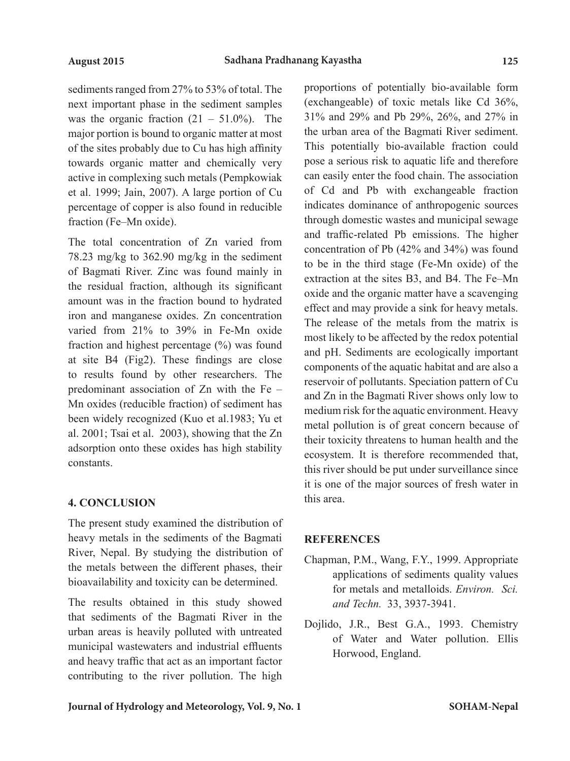sediments ranged from 27% to 53% of total. The next important phase in the sediment samples was the organic fraction  $(21 - 51.0\%)$ . The major portion is bound to organic matter at most of the sites probably due to Cu has high affinity towards organic matter and chemically very active in complexing such metals (Pempkowiak et al. 1999; Jain, 2007). A large portion of Cu percentage of copper is also found in reducible fraction (Fe–Mn oxide).

The total concentration of Zn varied from 78.23 mg/kg to 362.90 mg/kg in the sediment of Bagmati River. Zinc was found mainly in the residual fraction, although its significant amount was in the fraction bound to hydrated iron and manganese oxides. Zn concentration varied from 21% to 39% in Fe-Mn oxide fraction and highest percentage (%) was found at site B4 (Fig2). These findings are close to results found by other researchers. The predominant association of Zn with the Fe – Mn oxides (reducible fraction) of sediment has been widely recognized (Kuo et al.1983; Yu et al. 2001; Tsai et al. 2003), showing that the Zn adsorption onto these oxides has high stability constants.

# **4. CONCLUSION**

The present study examined the distribution of heavy metals in the sediments of the Bagmati River, Nepal. By studying the distribution of the metals between the different phases, their bioavailability and toxicity can be determined.

The results obtained in this study showed that sediments of the Bagmati River in the urban areas is heavily polluted with untreated municipal wastewaters and industrial effluents and heavy traffic that act as an important factor contributing to the river pollution. The high proportions of potentially bio-available form (exchangeable) of toxic metals like Cd 36%, 31% and 29% and Pb 29%, 26%, and 27% in the urban area of the Bagmati River sediment. This potentially bio-available fraction could pose a serious risk to aquatic life and therefore can easily enter the food chain. The association of Cd and Pb with exchangeable fraction indicates dominance of anthropogenic sources through domestic wastes and municipal sewage and traffic-related Pb emissions. The higher concentration of Pb (42% and 34%) was found to be in the third stage (Fe-Mn oxide) of the extraction at the sites B3, and B4. The Fe–Mn oxide and the organic matter have a scavenging effect and may provide a sink for heavy metals. The release of the metals from the matrix is most likely to be affected by the redox potential and pH. Sediments are ecologically important components of the aquatic habitat and are also a reservoir of pollutants. Speciation pattern of Cu and Zn in the Bagmati River shows only low to medium risk for the aquatic environment. Heavy metal pollution is of great concern because of their toxicity threatens to human health and the ecosystem. It is therefore recommended that, this river should be put under surveillance since it is one of the major sources of fresh water in this area.

# **REFERENCES**

- Chapman, P.M., Wang, F.Y., 1999. Appropriate applications of sediments quality values for metals and metalloids. *Environ. Sci. and Techn.* 33, 3937-3941.
- Dojlido, J.R., Best G.A., 1993. Chemistry of Water and Water pollution. Ellis Horwood, England.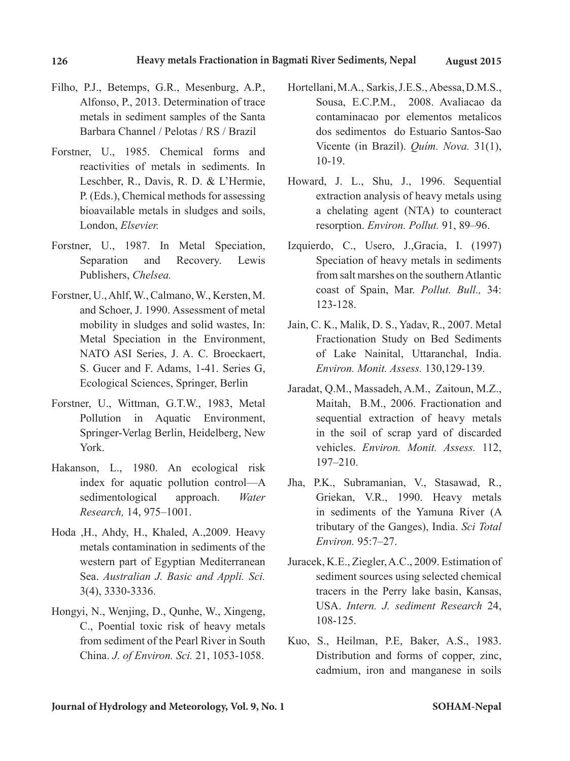- Filho, P.J., Betemps, G.R., Mesenburg, A.P., Alfonso, P., 2013. Determination of trace metals in sediment samples of the Santa Barbara Channel / Pelotas / RS / Brazil
- Forstner, U., 1985. Chemical forms and reactivities of metals in sediments. In Leschber, R., Davis, R. D. & L'Hermie, P. (Eds.), Chemical methods for assessing bioavailable metals in sludges and soils, London, *Elsevier.*
- Forstner, U., 1987. In Metal Speciation, Separation and Recovery. Lewis Publishers, *Chelsea.*
- Forstner, U., Ahlf, W., Calmano, W., Kersten, M. and Schoer, J. 1990. Assessment of metal mobility in sludges and solid wastes, In: Metal Speciation in the Environment, NATO ASI Series, J. A. C. Broeckaert, S. Gucer and F. Adams, 1-41. Series G, Ecological Sciences, Springer, Berlin
- Forstner, U., Wittman, G.T.W., 1983, Metal Pollution in Aquatic Environment, Springer-Verlag Berlin, Heidelberg, New York.
- Hakanson, L., 1980. An ecological risk index for aquatic pollution control—A sedimentological approach. *Water Research,* 14, 975–1001.
- Hoda ,H., Ahdy, H., Khaled, A.,2009. Heavy metals contamination in sediments of the western part of Egyptian Mediterranean Sea. *Australian J. Basic and Appli. Sci.* 3(4), 3330-3336.
- Hongyi, N., Wenjing, D., Qunhe, W., Xingeng, C., Poential toxic risk of heavy metals from sediment of the Pearl River in South China. *J. of Environ. Sci.* 21, 1053-1058.
- Hortellani, M.A., Sarkis, J.E.S., Abessa, D.M.S., Sousa, E.C.P.M., 2008. Avaliacao da contaminacao por elementos metalicos dos sedimentos do Estuario Santos-Sao Vicente (in Brazil). *Quím. Nova.* 31(1), 10-19.
- Howard, J. L., Shu, J., 1996. Sequential extraction analysis of heavy metals using a chelating agent (NTA) to counteract resorption. *Environ. Pollut.* 91, 89–96.
- Izquierdo, C., Usero, J.,Gracia, I. (1997) Speciation of heavy metals in sediments from salt marshes on the southern Atlantic coast of Spain, Mar. *Pollut. Bull.,* 34: 123-128.
- Jain, C. K., Malik, D. S., Yadav, R., 2007. Metal Fractionation Study on Bed Sediments of Lake Nainital, Uttaranchal, India. *Environ. Monit. Assess.* 130,129-139.
- Jaradat, Q.M., Massadeh, A.M., Zaitoun, M.Z., Maitah, B.M., 2006. Fractionation and sequential extraction of heavy metals in the soil of scrap yard of discarded vehicles. *Environ. Monit. Assess.* 112, 197–210.
- Jha, P.K., Subramanian, V., Stasawad, R., Griekan, V.R., 1990. Heavy metals in sediments of the Yamuna River (A tributary of the Ganges), India. *Sci Total Environ.* 95:7–27.
- Juracek, K.E., Ziegler, A.C., 2009. Estimation of sediment sources using selected chemical tracers in the Perry lake basin, Kansas, USA. *Intern. J. sediment Research* 24, 108-125.
- Kuo, S., Heilman, P.E, Baker, A.S., 1983. Distribution and forms of copper, zinc, cadmium, iron and manganese in soils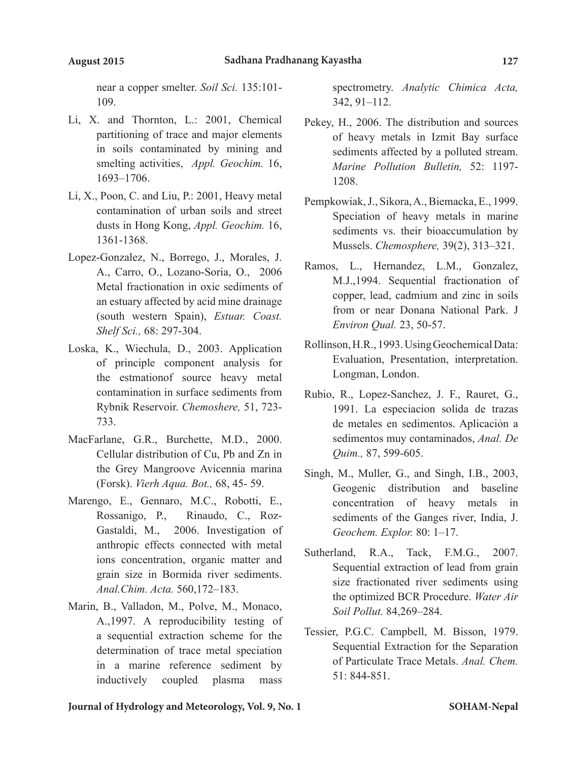near a copper smelter. *Soil Sci.* 135:101- 109.

- Li, X. and Thornton, L.: 2001, Chemical partitioning of trace and major elements in soils contaminated by mining and smelting activities, *Appl. Geochim.* 16, 1693–1706.
- Li, X., Poon, C. and Liu, P.: 2001, Heavy metal contamination of urban soils and street dusts in Hong Kong, *Appl. Geochim.* 16, 1361-1368.
- Lopez-Gonzalez, N., Borrego, J., Morales, J. A., Carro, O., Lozano-Soria, O., 2006 Metal fractionation in oxic sediments of an estuary affected by acid mine drainage (south western Spain), *Estuar. Coast. Shelf Sci.,* 68: 297-304.
- Loska, K., Wiechula, D., 2003. Application of principle component analysis for the estmationof source heavy metal contamination in surface sediments from Rybnik Reservoir. *Chemoshere,* 51, 723- 733.
- MacFarlane, G.R., Burchette, M.D., 2000. Cellular distribution of Cu, Pb and Zn in the Grey Mangroove Avicennia marina (Forsk). *Vierh Aqua. Bot.,* 68, 45- 59.
- Marengo, E., Gennaro, M.C., Robotti, E., Rossanigo, P., Rinaudo, C., Roz-Gastaldi, M., 2006. Investigation of anthropic effects connected with metal ions concentration, organic matter and grain size in Bormida river sediments. *Anal.Chim. Acta.* 560,172–183.
- Marin, B., Valladon, M., Polve, M., Monaco, A.,1997. A reproducibility testing of a sequential extraction scheme for the determination of trace metal speciation in a marine reference sediment by inductively coupled plasma mass

spectrometry. *Analytic Chimica Acta,*  342, 91–112.

- Pekey, H., 2006. The distribution and sources of heavy metals in Izmit Bay surface sediments affected by a polluted stream. *Marine Pollution Bulletin,* 52: 1197- 1208.
- Pempkowiak, J., Sikora, A., Biemacka, E., 1999. Speciation of heavy metals in marine sediments vs. their bioaccumulation by Mussels. *Chemosphere,* 39(2), 313–321.
- Ramos, L., Hernandez, L.M., Gonzalez, M.J.,1994. Sequential fractionation of copper, lead, cadmium and zinc in soils from or near Donana National Park. J *Environ Qual.* 23, 50-57.
- Rollinson, H.R., 1993. Using Geochemical Data: Evaluation, Presentation, interpretation. Longman, London.
- Rubio, R., Lopez-Sanchez, J. F., Rauret, G., 1991. La especiacion solida de trazas de metales en sedimentos. Aplicaciỏn a sedimentos muy contaminados, *Anal. De Quim.,* 87, 599-605.
- Singh, M., Muller, G., and Singh, I.B., 2003, Geogenic distribution and baseline concentration of heavy metals in sediments of the Ganges river, India, J. *Geochem. Explor.* 80: 1–17.
- Sutherland, R.A., Tack, F.M.G., 2007. Sequential extraction of lead from grain size fractionated river sediments using the optimized BCR Procedure. *Water Air Soil Pollut.* 84,269–284.
- Tessier, P.G.C. Campbell, M. Bisson, 1979. Sequential Extraction for the Separation of Particulate Trace Metals. *Anal. Chem.*  51: 844-851.

**Journal of Hydrology and Meteorology, Vol. 9, No. 1**